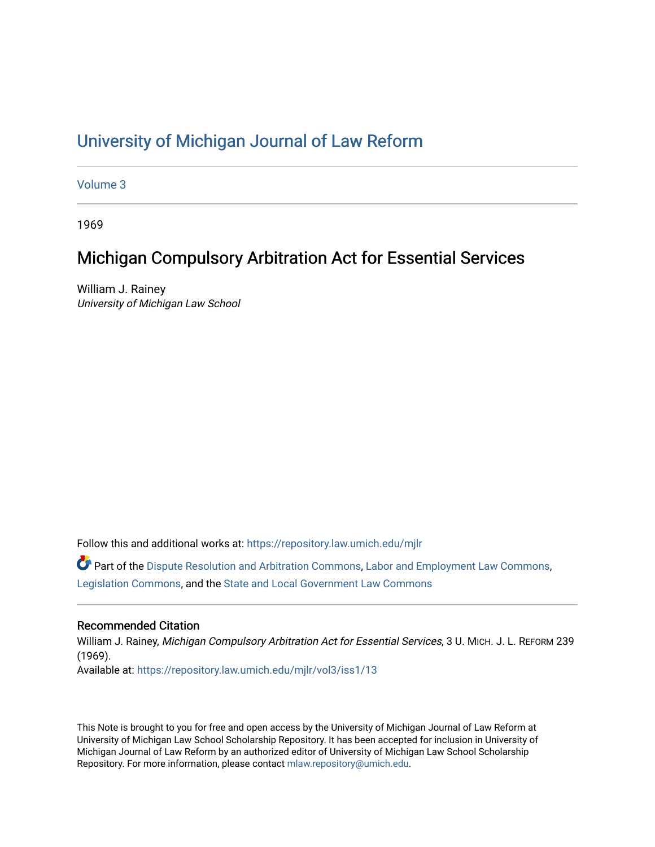# [University of Michigan Journal of Law Reform](https://repository.law.umich.edu/mjlr)

[Volume 3](https://repository.law.umich.edu/mjlr/vol3)

1969

# Michigan Compulsory Arbitration Act for Essential Services

William J. Rainey University of Michigan Law School

Follow this and additional works at: [https://repository.law.umich.edu/mjlr](https://repository.law.umich.edu/mjlr?utm_source=repository.law.umich.edu%2Fmjlr%2Fvol3%2Fiss1%2F13&utm_medium=PDF&utm_campaign=PDFCoverPages) 

Part of the [Dispute Resolution and Arbitration Commons,](http://network.bepress.com/hgg/discipline/890?utm_source=repository.law.umich.edu%2Fmjlr%2Fvol3%2Fiss1%2F13&utm_medium=PDF&utm_campaign=PDFCoverPages) [Labor and Employment Law Commons](http://network.bepress.com/hgg/discipline/909?utm_source=repository.law.umich.edu%2Fmjlr%2Fvol3%2Fiss1%2F13&utm_medium=PDF&utm_campaign=PDFCoverPages), [Legislation Commons](http://network.bepress.com/hgg/discipline/859?utm_source=repository.law.umich.edu%2Fmjlr%2Fvol3%2Fiss1%2F13&utm_medium=PDF&utm_campaign=PDFCoverPages), and the [State and Local Government Law Commons](http://network.bepress.com/hgg/discipline/879?utm_source=repository.law.umich.edu%2Fmjlr%2Fvol3%2Fiss1%2F13&utm_medium=PDF&utm_campaign=PDFCoverPages)

## Recommended Citation

William J. Rainey, Michigan Compulsory Arbitration Act for Essential Services, 3 U. MICH. J. L. REFORM 239 (1969). Available at: [https://repository.law.umich.edu/mjlr/vol3/iss1/13](https://repository.law.umich.edu/mjlr/vol3/iss1/13?utm_source=repository.law.umich.edu%2Fmjlr%2Fvol3%2Fiss1%2F13&utm_medium=PDF&utm_campaign=PDFCoverPages) 

This Note is brought to you for free and open access by the University of Michigan Journal of Law Reform at University of Michigan Law School Scholarship Repository. It has been accepted for inclusion in University of Michigan Journal of Law Reform by an authorized editor of University of Michigan Law School Scholarship Repository. For more information, please contact [mlaw.repository@umich.edu](mailto:mlaw.repository@umich.edu).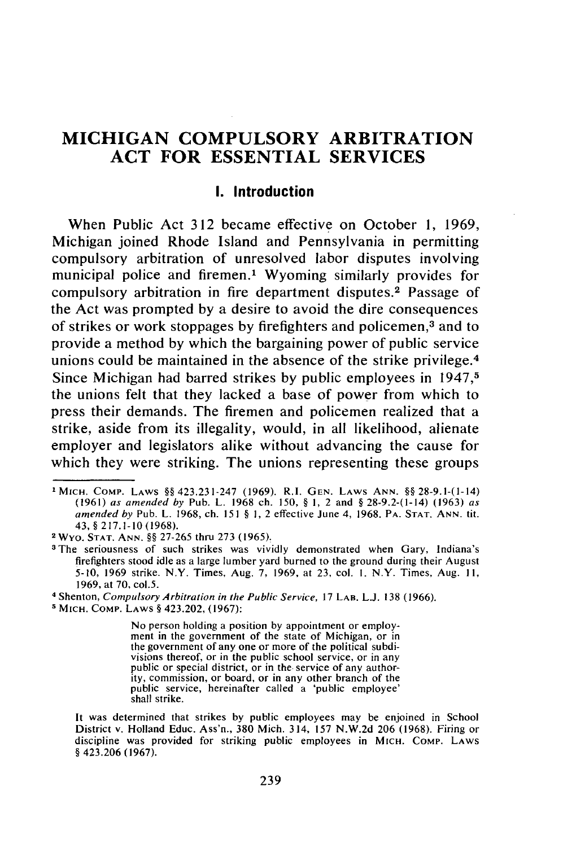# **MICHIGAN COMPULSORY ARBITRATION ACT FOR ESSENTIAL SERVICES**

#### **I.** Introduction

When Public Act **312** became effective on October **1,** 1969, Michigan joined Rhode Island and Pennsylvania in permitting compulsory arbitration of unresolved labor disputes involving municipal police and firemen.' Wyoming similarly provides for compulsory arbitration in fire department disputes.<sup>2</sup> Passage of the Act was prompted by a desire to avoid the dire consequences of strikes or work stoppages by firefighters and policemen, 3 and to provide a method by which the bargaining power of public service unions could be maintained in the absence of the strike privilege. <sup>4</sup> Since Michigan had barred strikes by public employees in 1947,<sup>5</sup> the unions felt that they lacked a base of power from which to press their demands. The firemen and policemen realized that a strike, aside from its illegality, would, in all likelihood, alienate employer and legislators alike without advancing the cause for which they were striking. The unions representing these groups

**4** Shenton, Compulsory *Arbitration* in the Public Service, 17 LAB. L.J. 138 (1966).

**5 MICH.** COMP. LAWS § 423.202, (1967):

No person holding a position by appointment or employment in the government of the state of Michigan, or in the government of any one or more of the political subdivisions thereof, or in the public school service, or in any public or special district, or in the service of any authority, commission, or board, or in any other branch of the public service, hereinafter called a 'public employee' shall strike.

**<sup>&#</sup>x27;MICH. COMP.** LAWS §§ 423.231-247 (1969). **R.I. GEN.** LAWS **ANN.** §§ 28-9.1-(1-14) (1961) as amended by Pub. L. 1968 ch. 150, § **1,** 2 and § 28-9.2-(1-14) (1963) as amended by Pub. L. 1968, ch. 151 § **1,** 2 effective June 4, 1968. PA. **STAT. ANN.** tit. 43, § 217.1-10 (1968).

**<sup>2</sup>Wyo. STAT. ANN.** §§ 27-265 thru **273** (1965).

<sup>&</sup>lt;sup>3</sup> The seriousness of such strikes was vividly demonstrated when Gary, Indiana's firefighters stood idle as a large lumber yard burned to the ground during their August 5-10, 1969 strike. N.Y. Times, Aug. 7, 1969, at 23, col. **I.** N.Y. Times, Aug. **11,** 1969, at 70, col,5.

It was determined that strikes by public employees may be enjoined in School District v. Holland Educ. Ass'n., 380 Mich. 314, 157 N.W.2d 206 (1968). Firing or discipline was provided for striking public employees in MICH. COMP. LAWS § 423.206 (1967).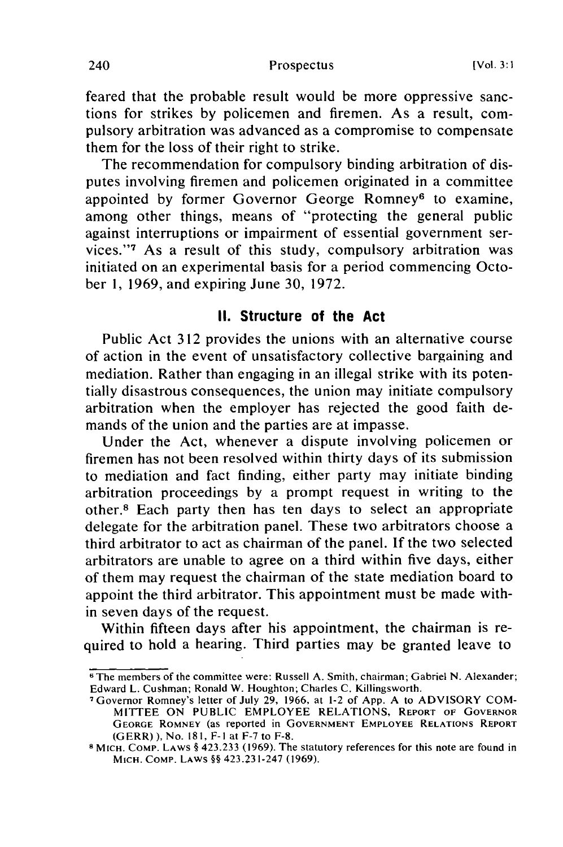feared that the probable result would be more oppressive sanctions for strikes by policemen and firemen. As a result, compulsory arbitration was advanced as a compromise to compensate them for the loss of their right to strike.

The recommendation for compulsory binding arbitration of disputes involving firemen and policemen originated in a committee appointed by former Governor George Romney<sup>6</sup> to examine, among other things, means of "protecting the general public against interruptions or impairment of essential government services."<sup>7</sup> As a result of this study, compulsory arbitration was initiated on an experimental basis for a period commencing October 1, 1969, and expiring June 30, 1972.

### **II. Structure of the Act**

Public Act 312 provides the unions with an alternative course of action in the event of unsatisfactory collective bargaining and mediation. Rather than engaging in an illegal strike with its potentially disastrous consequences, the union may initiate compulsory arbitration when the employer has rejected the good faith demands of the union and the parties are at impasse.

Under the Act, whenever a dispute involving policemen or firemen has not been resolved within thirty days of its submission to mediation and fact finding, either party may initiate binding arbitration proceedings by a prompt request in writing to the other.8 Each party then has ten days to select an appropriate delegate for the arbitration panel. These two arbitrators choose a third arbitrator to act as chairman of the panel. If the two selected arbitrators are unable to agree on a third within five days, either of them may request the chairman of the state mediation board to appoint the third arbitrator. This appointment must be made within seven days of the request.

Within fifteen days after his appointment, the chairman is required to hold a hearing. Third parties may be granted leave to

<sup>6</sup> The members of the committee were: Russell A. Smith, chairman; Gabriel N. Alexander; Edward L. Cushman; Ronald W. Houghton; Charles C. Killingsworth.

<sup>7</sup>Governor Romney's letter of July 29, 1966, at 1-2 of App. A to ADVISORY COM-MITTEE ON PUBLIC EMPLOYEE RELATIONS, REPORT OF GOVERNOR **GEORGE** ROMNEY (as reported in **GOVERNMENT** EMPLOYEE RELATIONS REPORT (GERR) ), No. 181, **F-I** at F-7 to F-8.

**<sup>8</sup>**MICH. COMP. LAWS § 423.233 (1969). The statutory references for this note are found in MICH. COMP. LAWS §§ 423.231-247 (1969).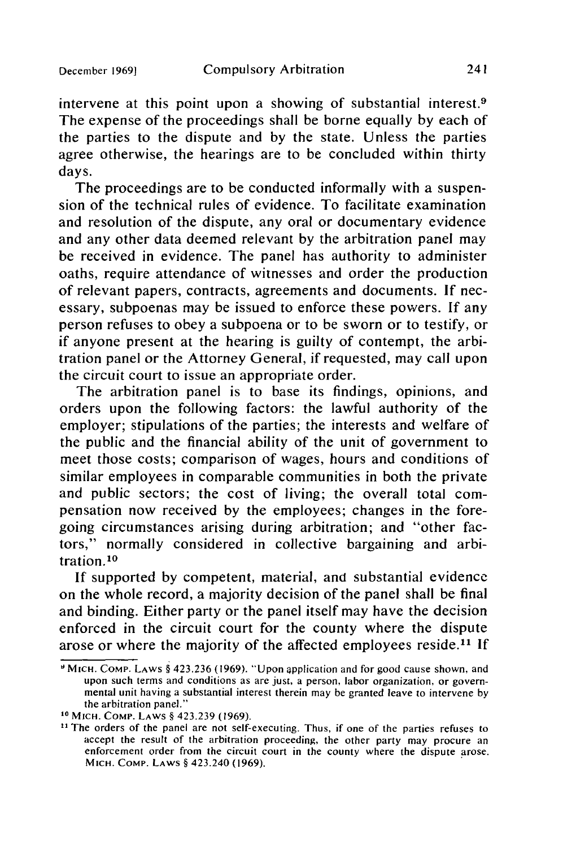intervene at this point upon a showing of substantial interest.9 The expense of the proceedings shall be borne equally by each of the parties to the dispute and by the state. Unless the parties agree otherwise, the hearings are to be concluded within thirty days.

The proceedings are to be conducted informally with a suspension of the technical rules of evidence. To facilitate examination and resolution of the dispute, any oral or documentary evidence and any other data deemed relevant by the arbitration panel may be received in evidence. The panel has authority to administer oaths, require attendance of witnesses and order the production of relevant papers, contracts, agreements and documents. If necessary, subpoenas may be issued to enforce these powers. If any person refuses to obey a subpoena or to be sworn or to testify, or if anyone present at the hearing is guilty of contempt, the arbitration panel or the Attorney General, if requested, may call upon the circuit court to issue an appropriate order.

The arbitration panel is to base its findings, opinions, and orders upon the following factors: the lawful authority of the employer; stipulations of the parties; the interests and welfare of the public and the financial ability of the unit of government to meet those costs; comparison of wages, hours and conditions of similar employees in comparable communities in both the private and public sectors; the cost of living; the overall total compensation now received by the employees; changes in the foregoing circumstances arising during arbitration; and "other factors," normally considered in collective bargaining and arbitration. <sup>10</sup>

If supported by competent, material, and substantial evidence on the whole record, a majority decision of the panel shall be final and binding. Either party or the panel itself may have the decision enforced in the circuit court for the county where the dispute arose or where the majority of the affected employees reside.<sup>11</sup> If

<sup>&#</sup>x27;MIcH. COMP. LAWS § 423.236 (1969). "Upon application and for good cause shown, and upon such terms and conditions as are just, a person, labor organization, or governmental unit having a substantial interest therein may be granted leave to intervene by the arbitration panel."

**<sup>10</sup>**MICH. CoMP. LAWS § 423.239 (1969).

<sup>&</sup>lt;sup>11</sup> The orders of the panel are not self-executing. Thus, if one of the parties refuses to accept the result of the arbitration proceeding, the other party may procure an enforcement order from the circuit court in the county where the dispute arose. MICH. CoMP. LAWS § 423.240 (1969).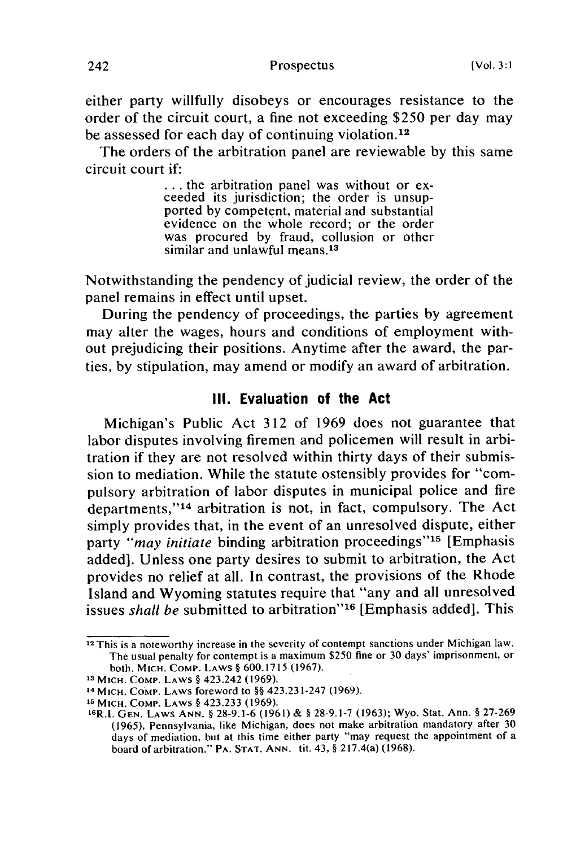Prospectus

either party willfully disobeys or encourages resistance to the order of the circuit court, a fine not exceeding \$250 per day may be assessed for each day of continuing violation.<sup>12</sup>

The orders of the arbitration panel are reviewable by this same circuit court if:

> **...** the arbitration panel was without or exceeded its jurisdiction; the order is unsup- ported by competent, material and substantial evidence on the whole record; or the order was procured by fraud, collusion or other similar and unlawful means.<sup>13</sup>

Notwithstanding the pendency of judicial review, the order of the panel remains in effect until upset.

During the pendency of proceedings, the parties by agreement may alter the wages, hours and conditions of employment without prejudicing their positions. Anytime after the award, the parties, by stipulation, may amend or modify an award of arbitration.

#### **Ill. Evaluation of the Act**

Michigan's Public Act 312 of 1969 does not guarantee that labor disputes involving firemen and policemen will result in arbitration if they are not resolved within thirty days of their submission to mediation. While the statute ostensibly provides for "compulsory arbitration of labor disputes in municipal police and fire departments,"<sup>14</sup> arbitration is not, in fact, compulsory. The Act simply provides that, in the event of an unresolved dispute, either party *"may initiate* binding arbitration proceedings"<sup>15</sup> [Emphasis] added]. Unless one party desires to submit to arbitration, the Act provides no relief at all. In contrast, the provisions of the Rhode Island and Wyoming statutes require that "any and all unresolved issues *shall be* submitted to arbitration"<sup>16</sup> [Emphasis added]. This

<sup>&</sup>lt;sup>12</sup> This is a noteworthy increase in the severity of contempt sanctions under Michigan law. The usual penalty for contempt is a maximum \$250 fine or 30 days' imprisonment, or both. MICH. COMp. LAWS § 600.1715 (1967).

**<sup>13</sup>**MICH. COMp. LAWS § 423.242 (1969).

**<sup>14</sup>** MICH. CoMp. LAWS foreword to §§ 423.231-247 (1969).

**<sup>15</sup>** MICH. COMp. LAWS § 423.233 (1969).

<sup>&#</sup>x27; <sup>8</sup> R.l. GEN. LAWS ANN. § 28-9.1-6 (1961) & § 28-9.1-7 (1963); Wyo. Stat. Ann. § 27-269 (1965), Pennsylvania, like Michigan, does not make arbitration mandatory after 30 days of mediation, but at this time either party "may request the appointment of a board of arbitration." PA. STAT. ANN. tit. 43, § 217.4(a) (1968).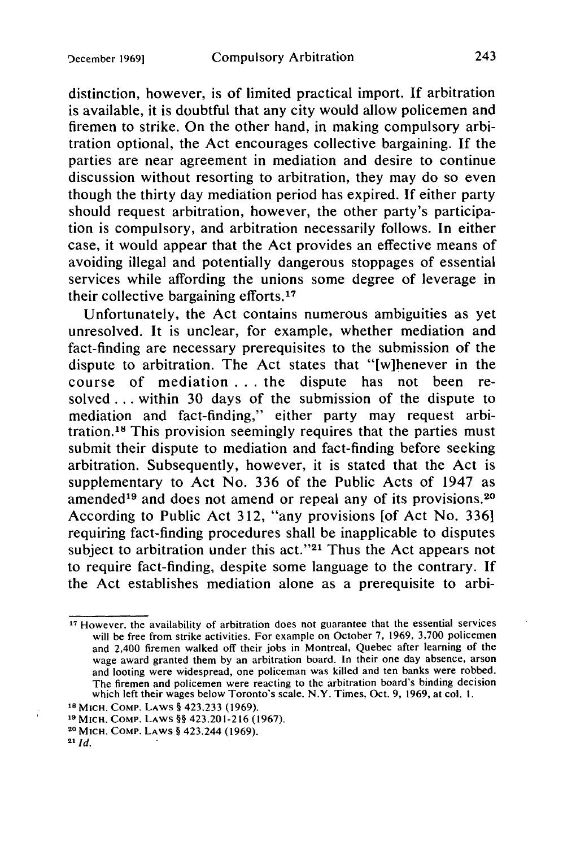distinction, however, is of limited practical import. If arbitration is available, it is doubtful that any city would allow policemen and firemen to strike. On the other hand, in making compulsory arbitration optional, the Act encourages collective bargaining. If the parties are near agreement in mediation and desire to continue discussion without resorting to arbitration, they may do so even though the thirty day mediation period has expired. If either party should request arbitration, however, the other party's participation is compulsory, and arbitration necessarily follows. In either case, it would appear that the Act provides an effective means of avoiding illegal and potentially dangerous stoppages of essential services while affording the unions some degree of leverage in their collective bargaining efforts. <sup>17</sup>

Unfortunately, the Act contains numerous ambiguities as yet unresolved. It is unclear, for example, whether mediation and fact-finding are necessary prerequisites to the submission of the dispute to arbitration. The Act states that "[wihenever in the course of mediation **. . .** the dispute has not been resolved.., within 30 days of the submission of the dispute to mediation and fact-finding," either party may request arbitration.<sup>18</sup> This provision seemingly requires that the parties must submit their dispute to mediation and fact-finding before seeking arbitration. Subsequently, however, it is stated that the Act is supplementary to Act No. 336 of the Public Acts of 1947 as amended<sup>19</sup> and does not amend or repeal any of its provisions.<sup>20</sup> According to Public Act 312, "any provisions [of Act No. 336] requiring fact-finding procedures shall be inapplicable to disputes subject to arbitration under this act." $21$  Thus the Act appears not to require fact-finding, despite some language to the contrary. If the Act establishes mediation alone as a prerequisite to arbi-

**<sup>17</sup>** However, the availability of arbitration does not guarantee that the essential services will be free from strike activities. For example on October 7, 1969, 3,700 policemen and 2,400 firemen walked off their jobs in Montreal, Quebec after learning of the wage award granted them by an arbitration board. In their one day absence, arson and looting were widespread, one policeman was killed and ten banks were robbed. The firemen and policemen were reacting to the arbitration board's binding decision which left their wages below Toronto's scale. N.Y. Times, Oct. 9, 1969, at col. **1.**

**<sup>1</sup>s MIcH. COMP.** LAWS § 423.233 (1969).

**<sup>19</sup>MIcH.** COMP. LAWS §§ 423.201-216 (1967).

**<sup>2</sup> <sup>0</sup>**MICH. COMP. LAWS § 423.244 (1969).

**<sup>21</sup>***Id.*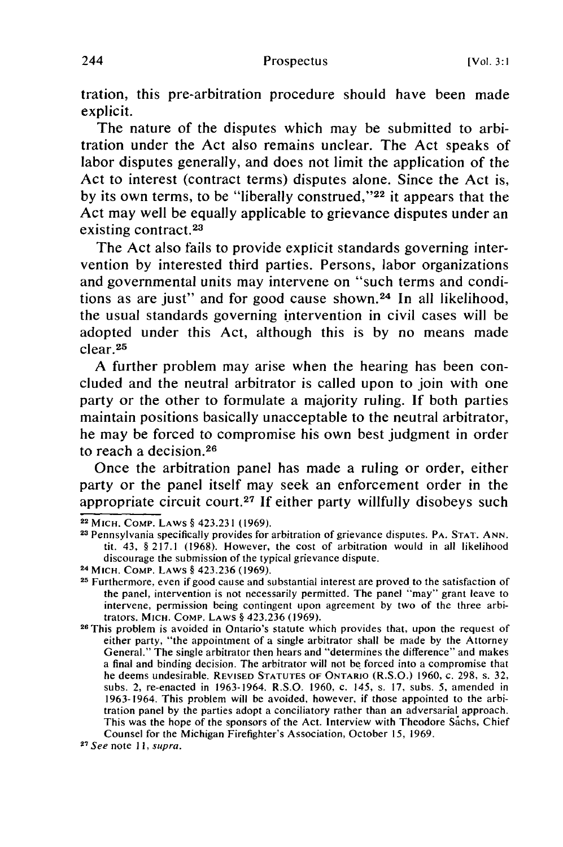tration, this pre-arbitration procedure should have been made explicit.

The nature of the disputes which may be submitted to arbitration under the Act also remains unclear. The Act speaks of labor disputes generally, and does not limit the application of the Act to interest (contract terms) disputes alone. Since the Act is, by its own terms, to be "liberally construed,"<sup>22</sup> it appears that the Act may well be equally applicable to grievance disputes under an existing contract.<sup>23</sup>

The Act also fails to provide explicit standards governing intervention by interested third parties. Persons, labor organizations and governmental units may intervene on "such terms and conditions as are just" and for good cause shown. 24 In all likelihood, the usual standards governing intervention in civil cases will be adopted under this Act, although this is by no means made clear. <sup>25</sup>

A further problem may arise when the hearing has been concluded and the neutral arbitrator is called upon to join with one party or the other to formulate a majority ruling. If both parties maintain positions basically unacceptable to the neutral arbitrator, he may be forced to compromise his own best judgment in order to reach a decision. <sup>26</sup>

Once the arbitration panel has made a ruling or order, either party or the panel itself may seek an enforcement order in the appropriate circuit court.<sup>27</sup> If either party willfully disobeys such

**<sup>22</sup>**MICH. COMP. LAWS § 423.231 **(1969).**

**<sup>23</sup>**Pennsylvania specifically provides for arbitration of grievance disputes. PA. **STAT.** ANN. tit. 43, § **217.1** (1968). However, the cost of arbitration would in all likelihood discourage the submission of the typical grievance dispute.

**<sup>24</sup>**MICH. COMP. LAWS § 423.236 (1969).

**<sup>25</sup>**Furthermore, even if good cause and substantial interest are proved to the satisfaction of the panel, intervention is not necessarily permitted. The panel "may" grant leave to intervene, permission being contingent upon agreement by two of the three arbitrators. MICH. COMP. LAWS § 423.236 (1969).

**<sup>26</sup>**This problem is avoided in Ontario's statute which provides that, upon the request of either party, "the appointment of a single arbitrator shall be made **by** the Attorney General." The single arbitrator then hears and "determines the difference" and makes a final and binding decision. The arbitrator will not be forced into a compromise that he deems undesirable. **REVISED STATUTES** OF **ONTARIO** (R.S.O.) 1960, c. 298, s. 32, subs. 2, re-enacted in 1963-1964. R.S.O. 1960, c. 145, s. **17,** subs. 5, amended in 1963-1964. This problem will be avoided, however, if those appointed to the arbitration panel **by** the parties adopt a conciliatory rather than an adversarial approach. This was the hope of the sponsors of the Act. Interview with Theodore Sachs, Chief Counsel for the Michigan Firefighter's Association, October **15,** 1969. **<sup>2</sup>**

**<sup>7</sup>** See note II, supra.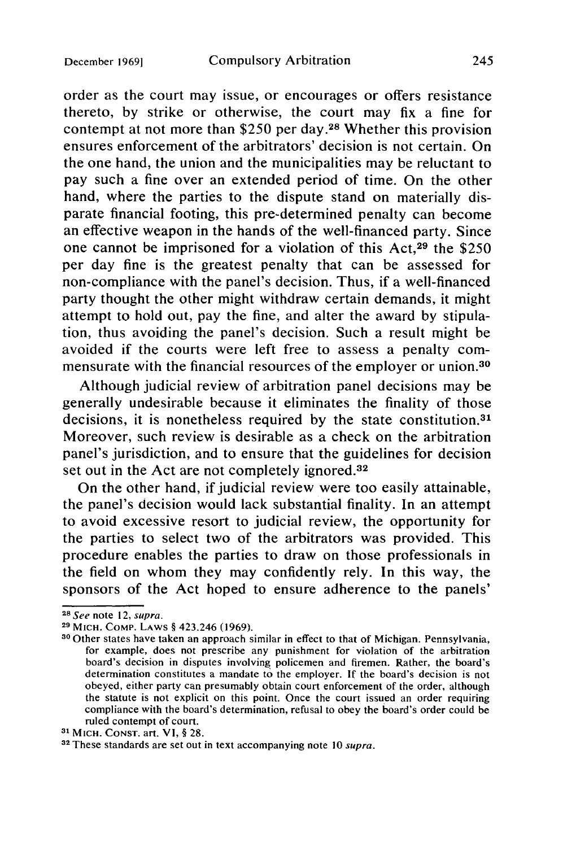order as the court may issue, or encourages or offers resistance thereto, by strike or otherwise, the court may fix a fine for contempt at not more than \$250 per day. 28 Whether this provision ensures enforcement of the arbitrators' decision is not certain. On the one hand, the union and the municipalities may be reluctant to pay such a fine over an extended period of time. On the other hand, where the parties to the dispute stand on materially disparate financial footing, this pre-determined penalty can become an effective weapon in the hands of the well-financed party. Since one cannot be imprisoned for a violation of this Act, $29$  the \$250 per day fine is the greatest penalty that can be assessed for non-compliance with the panel's decision. Thus, if a well-financed party thought the other might withdraw certain demands, it might attempt to hold out, pay the fine, and alter the award by stipulation, thus avoiding the panel's decision. Such a result might be avoided if the courts were left free to assess a penalty commensurate with the financial resources of the employer or union.30

Although judicial review of arbitration panel decisions may be generally undesirable because it eliminates the finality of those decisions, it is nonetheless required by the state constitution.<sup>31</sup> Moreover, such review is desirable as a check on the arbitration panel's jurisdiction, and to ensure that the guidelines for decision set out in the Act are not completely ignored.<sup>32</sup>

On the other hand, if judicial review were too easily attainable, the panel's decision would lack substantial finality. In an attempt to avoid excessive resort to judicial review, the opportunity for the parties to select two of the arbitrators was provided. This procedure enables the parties to draw on those professionals in the field on whom they may confidently rely. In this way, the sponsors of the Act hoped to ensure adherence to the panels'

*<sup>2</sup>***<sup>8</sup>**See note 12, supra.

**<sup>29</sup>**MICH. COMP. LAWS § 423.246 (1969).

**<sup>30</sup>**Other states have taken an approach similar in effect to that of Michigan. Pennsylvania, for example, does not prescribe any punishment for violation of the arbitration board's decision in disputes involving policemen and firemen. Rather, the board's determination constitutes a mandate to the employer. If the board's decision is not obeyed, either party can presumably obtain court enforcement of the order, although the statute is not explicit on this point. Once the court issued an order requiring compliance with the board's determination, refusal to obey the board's order could be ruled contempt of court.

**<sup>31</sup>**MICH. CONST. art. VI, § 28.

**<sup>32</sup>**These standards are set out in text accompanying note 10 supra.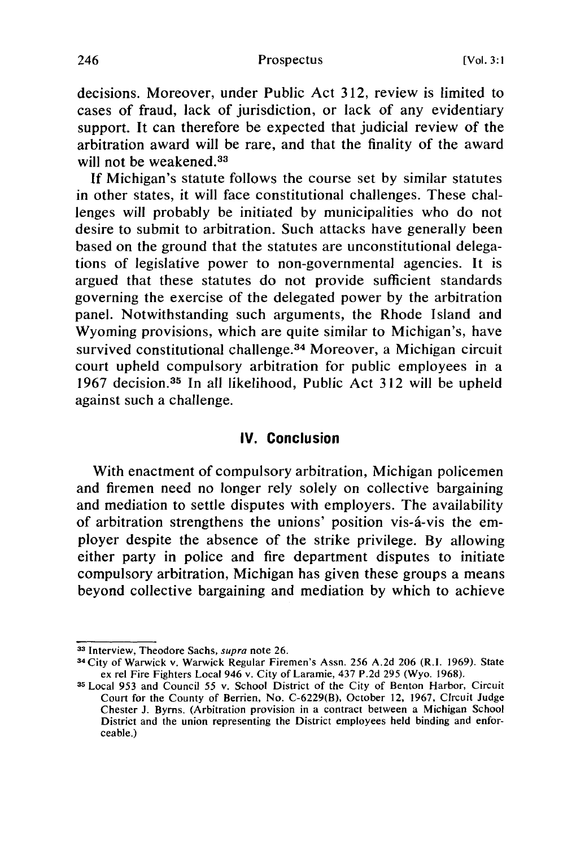decisions. Moreover, under Public Act 312, review is limited to cases of fraud, lack of jurisdiction, or lack of any evidentiary support. It can therefore be expected that judicial review of the arbitration award will be rare, and that the finality of the award will not be weakened.<sup>33</sup>

If Michigan's statute follows the course set by similar statutes in other states, it will face constitutional challenges. These challenges will probably be initiated by municipalities who do not desire to submit to arbitration. Such attacks have generally been based on the ground that the statutes are unconstitutional delegations of legislative power to non-governmental agencies. It is argued that these statutes do not provide sufficient standards governing the exercise of the delegated power by the arbitration panel. Notwithstanding such arguments, the Rhode Island and Wyoming provisions, which are quite similar to Michigan's, have survived constitutional challenge.<sup>34</sup> Moreover, a Michigan circuit court upheld compulsory arbitration for public employees in a 1967 decision.<sup>35</sup> In all likelihood, Public Act 312 will be upheld against such a challenge.

## **IV. Conclusion**

With enactment of compulsory arbitration, Michigan policemen and firemen need no longer rely solely on collective bargaining and mediation to settle disputes with employers. The availability of arbitration strengthens the unions' position vis-d-vis the employer despite the absence of the strike privilege. By allowing either party in police and fire department disputes to initiate compulsory arbitration, Michigan has given these groups a means beyond collective bargaining and mediation by which to achieve

**<sup>3</sup>s** Interview, Theodore Sachs, supra note 26. **<sup>3</sup>**

**<sup>4</sup>** City of Warwick v. Warwick Regular Firemen's Assn. 256 A.2d 206 (R.I. 1969). State ex rel Fire Fighters Local 946 v. City of Laramie, 437 P.2d 295 (Wyo. 1968).

**<sup>35</sup>**Local 953 and Council 55 v. School District of the City of Benton Harbor, Circuit Court for the County of Berrien, No. C-6229(B), October 12, 1967, CIrcuit Judge Chester J. Byrns. (Arbitration provision in a contract between a Michigan School District and the union representing the District employees held binding and enforceable.)